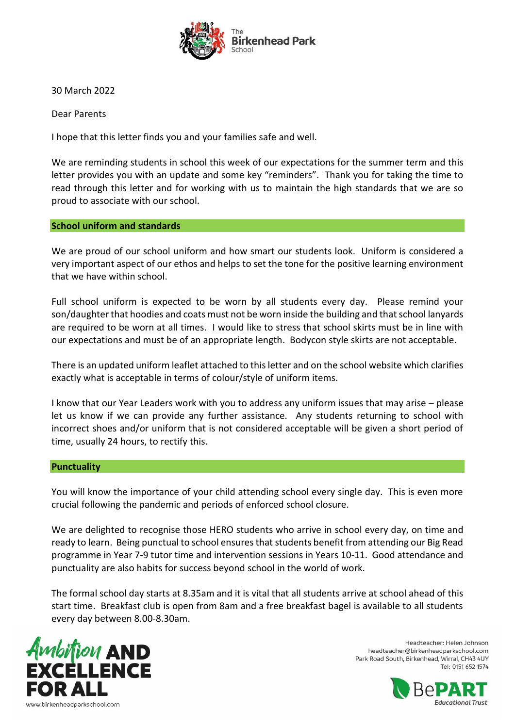

30 March 2022

Dear Parents

I hope that this letter finds you and your families safe and well.

We are reminding students in school this week of our expectations for the summer term and this letter provides you with an update and some key "reminders". Thank you for taking the time to read through this letter and for working with us to maintain the high standards that we are so proud to associate with our school.

## **School uniform and standards**

We are proud of our school uniform and how smart our students look. Uniform is considered a very important aspect of our ethos and helps to set the tone for the positive learning environment that we have within school.

Full school uniform is expected to be worn by all students every day. Please remind your son/daughter that hoodies and coats must not be worn inside the building and that school lanyards are required to be worn at all times. I would like to stress that school skirts must be in line with our expectations and must be of an appropriate length. Bodycon style skirts are not acceptable.

There is an updated uniform leaflet attached to this letter and on the school website which clarifies exactly what is acceptable in terms of colour/style of uniform items.

I know that our Year Leaders work with you to address any uniform issues that may arise – please let us know if we can provide any further assistance. Any students returning to school with incorrect shoes and/or uniform that is not considered acceptable will be given a short period of time, usually 24 hours, to rectify this.

## **Punctuality**

You will know the importance of your child attending school every single day. This is even more crucial following the pandemic and periods of enforced school closure.

We are delighted to recognise those HERO students who arrive in school every day, on time and ready to learn. Being punctual to school ensures that students benefit from attending our Big Read programme in Year 7-9 tutor time and intervention sessions in Years 10-11. Good attendance and punctuality are also habits for success beyond school in the world of work.

The formal school day starts at 8.35am and it is vital that all students arrive at school ahead of this start time. Breakfast club is open from 8am and a free breakfast bagel is available to all students every day between 8.00-8.30am.



Headteacher: Helen Johnson headteacher@birkenheadparkschool.com Park Road South, Birkenhead, Wirral, CH43 4UY Tel: 0151 652 1574